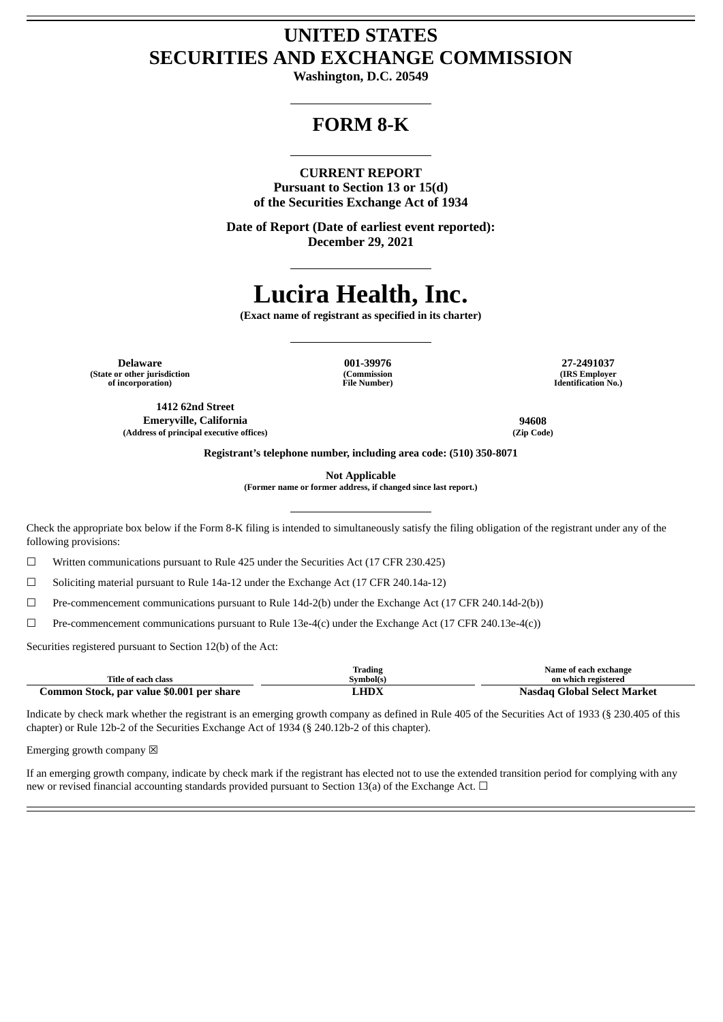# **UNITED STATES SECURITIES AND EXCHANGE COMMISSION**

**Washington, D.C. 20549**

# **FORM 8-K**

# **CURRENT REPORT**

**Pursuant to Section 13 or 15(d) of the Securities Exchange Act of 1934**

**Date of Report (Date of earliest event reported): December 29, 2021**

# **Lucira Health, Inc.**

**(Exact name of registrant as specified in its charter)**

**Delaware 001-39976 27-2491037 (State or other jurisdiction of incorporation)**

**(Commission File Number)**

**(IRS Employer Identification No.)**

**1412 62nd Street Emeryville, California 94608 (Address of principal executive offices) (Zip Code)**

**Registrant's telephone number, including area code: (510) 350-8071**

**Not Applicable**

**(Former name or former address, if changed since last report.)**

Check the appropriate box below if the Form 8-K filing is intended to simultaneously satisfy the filing obligation of the registrant under any of the following provisions:

☐ Written communications pursuant to Rule 425 under the Securities Act (17 CFR 230.425)

 $\Box$  Soliciting material pursuant to Rule 14a-12 under the Exchange Act (17 CFR 240.14a-12)

☐ Pre-commencement communications pursuant to Rule 14d-2(b) under the Exchange Act (17 CFR 240.14d-2(b))

 $\Box$  Pre-commencement communications pursuant to Rule 13e-4(c) under the Exchange Act (17 CFR 240.13e-4(c))

Securities registered pursuant to Section 12(b) of the Act:

|                                           | Trading           | Name of each exchange       |
|-------------------------------------------|-------------------|-----------------------------|
| Title of each class                       | <b>Symbol</b> (s) | on which registered         |
| Common Stock, par value \$0.001 per share | .HDX              | <b>Global Select Market</b> |

Indicate by check mark whether the registrant is an emerging growth company as defined in Rule 405 of the Securities Act of 1933 (§ 230.405 of this chapter) or Rule 12b-2 of the Securities Exchange Act of 1934 (§ 240.12b-2 of this chapter).

Emerging growth company  $\boxtimes$ 

If an emerging growth company, indicate by check mark if the registrant has elected not to use the extended transition period for complying with any new or revised financial accounting standards provided pursuant to Section 13(a) of the Exchange Act.  $\Box$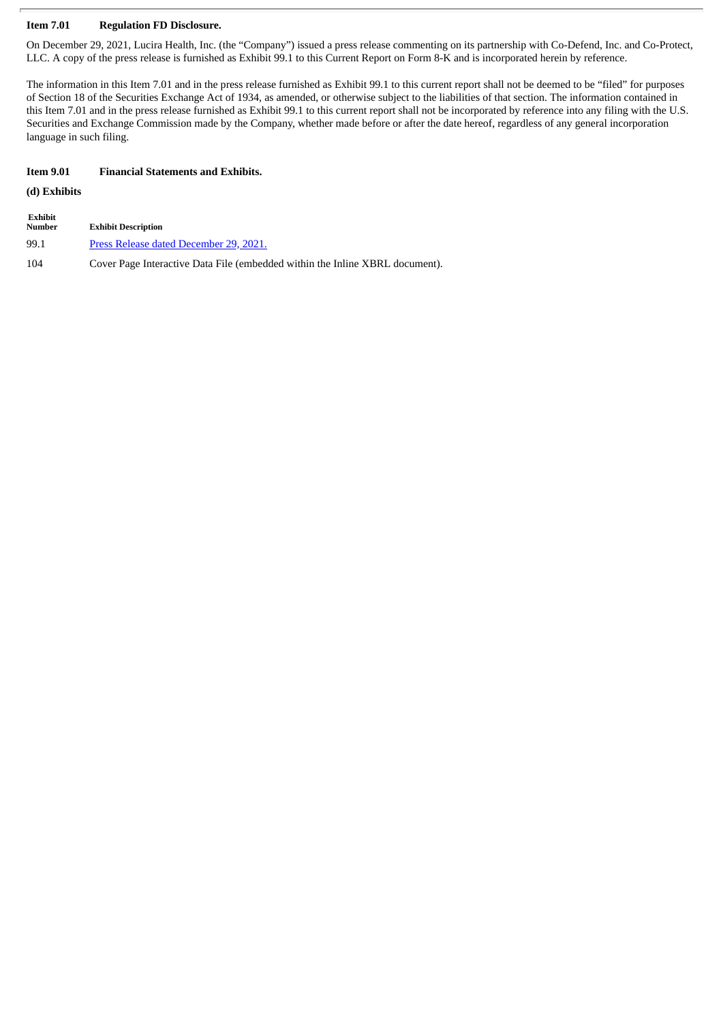#### **Item 7.01 Regulation FD Disclosure.**

On December 29, 2021, Lucira Health, Inc. (the "Company") issued a press release commenting on its partnership with Co-Defend, Inc. and Co-Protect, LLC. A copy of the press release is furnished as Exhibit 99.1 to this Current Report on Form 8-K and is incorporated herein by reference.

The information in this Item 7.01 and in the press release furnished as Exhibit 99.1 to this current report shall not be deemed to be "filed" for purposes of Section 18 of the Securities Exchange Act of 1934, as amended, or otherwise subject to the liabilities of that section. The information contained in this Item 7.01 and in the press release furnished as Exhibit 99.1 to this current report shall not be incorporated by reference into any filing with the U.S. Securities and Exchange Commission made by the Company, whether made before or after the date hereof, regardless of any general incorporation language in such filing.

### **Item 9.01 Financial Statements and Exhibits.**

# **(d) Exhibits**

**Exhibit**

| ---------<br>Number | <b>Exhibit Description</b>                                                   |
|---------------------|------------------------------------------------------------------------------|
| 99.1                | Press Release dated December 29, 2021.                                       |
| 104                 | Cover Page Interactive Data File (embedded within the Inline XBRL document). |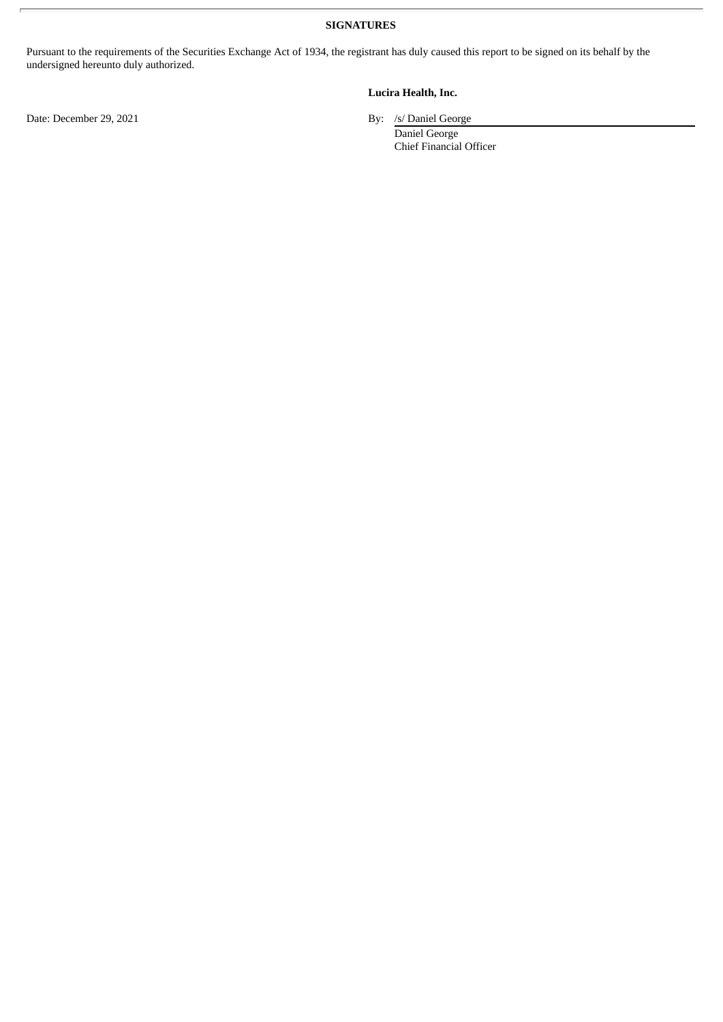**SIGNATURES**

Pursuant to the requirements of the Securities Exchange Act of 1934, the registrant has duly caused this report to be signed on its behalf by the undersigned hereunto duly authorized.

## **Lucira Health, Inc.**

Daniel George Chief Financial Officer

Date: December 29, 2021 By: /s/ Daniel George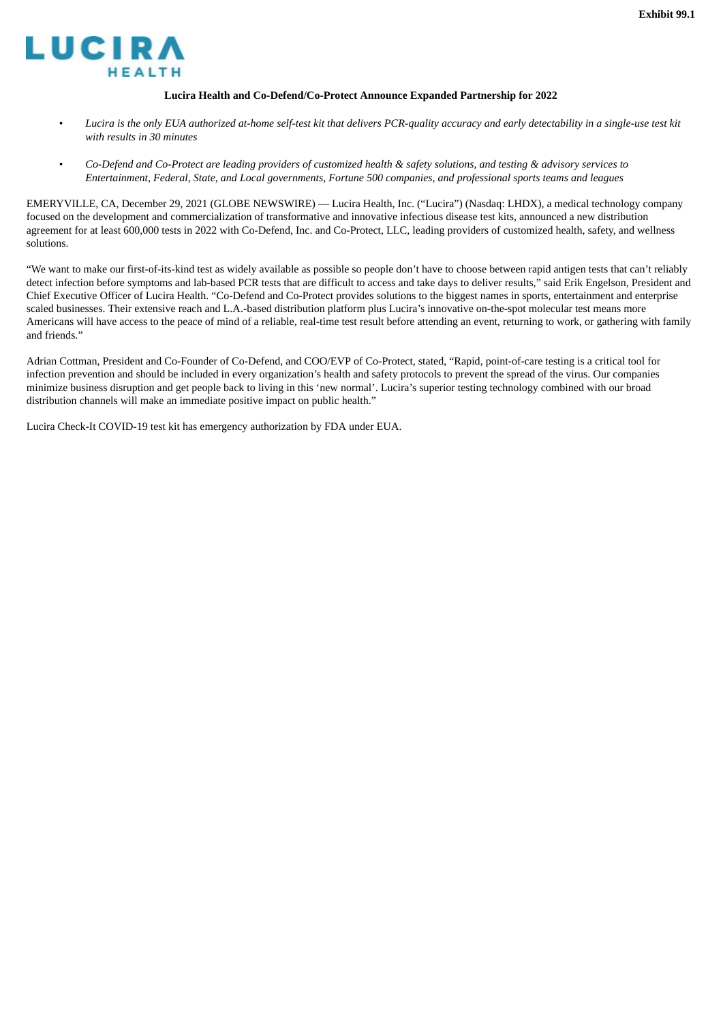<span id="page-3-0"></span>

## **Lucira Health and Co-Defend/Co-Protect Announce Expanded Partnership for 2022**

- Lucira is the only EUA authorized at-home self-test kit that delivers PCR-quality accuracy and early detectability in a single-use test kit *with results in 30 minutes*
- Co-Defend and Co-Protect are leading providers of customized health & safety solutions, and testing & advisory services to *Entertainment, Federal, State, and Local governments, Fortune 500 companies, and professional sports teams and leagues*

EMERYVILLE, CA, December 29, 2021 (GLOBE NEWSWIRE) — Lucira Health, Inc. ("Lucira") (Nasdaq: LHDX), a medical technology company focused on the development and commercialization of transformative and innovative infectious disease test kits, announced a new distribution agreement for at least 600,000 tests in 2022 with Co-Defend, Inc. and Co-Protect, LLC, leading providers of customized health, safety, and wellness solutions.

"We want to make our first-of-its-kind test as widely available as possible so people don't have to choose between rapid antigen tests that can't reliably detect infection before symptoms and lab-based PCR tests that are difficult to access and take days to deliver results," said Erik Engelson, President and Chief Executive Officer of Lucira Health. "Co-Defend and Co-Protect provides solutions to the biggest names in sports, entertainment and enterprise scaled businesses. Their extensive reach and L.A.-based distribution platform plus Lucira's innovative on-the-spot molecular test means more Americans will have access to the peace of mind of a reliable, real-time test result before attending an event, returning to work, or gathering with family and friends."

Adrian Cottman, President and Co-Founder of Co-Defend, and COO/EVP of Co-Protect, stated, "Rapid, point-of-care testing is a critical tool for infection prevention and should be included in every organization's health and safety protocols to prevent the spread of the virus. Our companies minimize business disruption and get people back to living in this 'new normal'. Lucira's superior testing technology combined with our broad distribution channels will make an immediate positive impact on public health."

Lucira Check-It COVID-19 test kit has emergency authorization by FDA under EUA.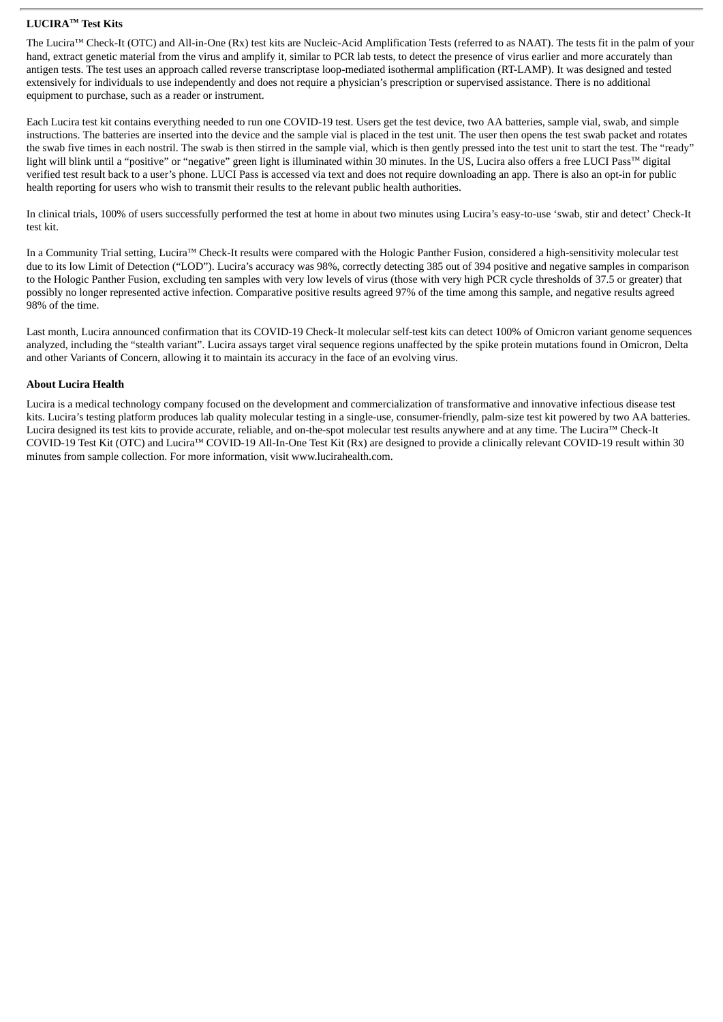### **LUCIRA™ Test Kits**

The Lucira™ Check-It (OTC) and All-in-One (Rx) test kits are Nucleic-Acid Amplification Tests (referred to as NAAT). The tests fit in the palm of your hand, extract genetic material from the virus and amplify it, similar to PCR lab tests, to detect the presence of virus earlier and more accurately than antigen tests. The test uses an approach called reverse transcriptase loop-mediated isothermal amplification (RT-LAMP). It was designed and tested extensively for individuals to use independently and does not require a physician's prescription or supervised assistance. There is no additional equipment to purchase, such as a reader or instrument.

Each Lucira test kit contains everything needed to run one COVID-19 test. Users get the test device, two AA batteries, sample vial, swab, and simple instructions. The batteries are inserted into the device and the sample vial is placed in the test unit. The user then opens the test swab packet and rotates the swab five times in each nostril. The swab is then stirred in the sample vial, which is then gently pressed into the test unit to start the test. The "ready" light will blink until a "positive" or "negative" green light is illuminated within 30 minutes. In the US, Lucira also offers a free LUCI Pass™ digital verified test result back to a user's phone. LUCI Pass is accessed via text and does not require downloading an app. There is also an opt-in for public health reporting for users who wish to transmit their results to the relevant public health authorities.

In clinical trials, 100% of users successfully performed the test at home in about two minutes using Lucira's easy-to-use 'swab, stir and detect' Check-It test kit.

In a Community Trial setting, Lucira™ Check-It results were compared with the Hologic Panther Fusion, considered a high-sensitivity molecular test due to its low Limit of Detection ("LOD"). Lucira's accuracy was 98%, correctly detecting 385 out of 394 positive and negative samples in comparison to the Hologic Panther Fusion, excluding ten samples with very low levels of virus (those with very high PCR cycle thresholds of 37.5 or greater) that possibly no longer represented active infection. Comparative positive results agreed 97% of the time among this sample, and negative results agreed 98% of the time.

Last month, Lucira announced confirmation that its COVID-19 Check-It molecular self-test kits can detect 100% of Omicron variant genome sequences analyzed, including the "stealth variant". Lucira assays target viral sequence regions unaffected by the spike protein mutations found in Omicron, Delta and other Variants of Concern, allowing it to maintain its accuracy in the face of an evolving virus.

#### **About Lucira Health**

Lucira is a medical technology company focused on the development and commercialization of transformative and innovative infectious disease test kits. Lucira's testing platform produces lab quality molecular testing in a single-use, consumer-friendly, palm-size test kit powered by two AA batteries. Lucira designed its test kits to provide accurate, reliable, and on-the-spot molecular test results anywhere and at any time. The Lucira™ Check-It COVID-19 Test Kit (OTC) and Lucira™ COVID-19 All-In-One Test Kit (Rx) are designed to provide a clinically relevant COVID-19 result within 30 minutes from sample collection. For more information, visit www.lucirahealth.com.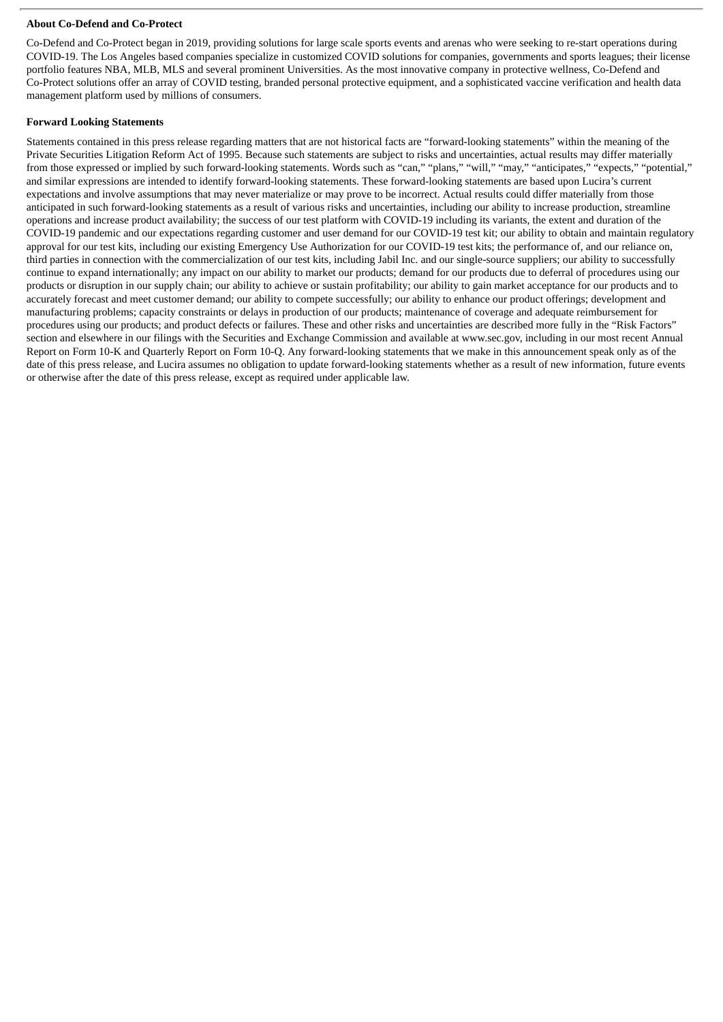#### **About Co-Defend and Co-Protect**

Co-Defend and Co-Protect began in 2019, providing solutions for large scale sports events and arenas who were seeking to re-start operations during COVID-19. The Los Angeles based companies specialize in customized COVID solutions for companies, governments and sports leagues; their license portfolio features NBA, MLB, MLS and several prominent Universities. As the most innovative company in protective wellness, Co-Defend and Co-Protect solutions offer an array of COVID testing, branded personal protective equipment, and a sophisticated vaccine verification and health data management platform used by millions of consumers.

#### **Forward Looking Statements**

Statements contained in this press release regarding matters that are not historical facts are "forward-looking statements" within the meaning of the Private Securities Litigation Reform Act of 1995. Because such statements are subject to risks and uncertainties, actual results may differ materially from those expressed or implied by such forward-looking statements. Words such as "can," "plans," "will," "may," "anticipates," "expects," "potential," and similar expressions are intended to identify forward-looking statements. These forward-looking statements are based upon Lucira's current expectations and involve assumptions that may never materialize or may prove to be incorrect. Actual results could differ materially from those anticipated in such forward-looking statements as a result of various risks and uncertainties, including our ability to increase production, streamline operations and increase product availability; the success of our test platform with COVID-19 including its variants, the extent and duration of the COVID-19 pandemic and our expectations regarding customer and user demand for our COVID-19 test kit; our ability to obtain and maintain regulatory approval for our test kits, including our existing Emergency Use Authorization for our COVID-19 test kits; the performance of, and our reliance on, third parties in connection with the commercialization of our test kits, including Jabil Inc. and our single-source suppliers; our ability to successfully continue to expand internationally; any impact on our ability to market our products; demand for our products due to deferral of procedures using our products or disruption in our supply chain; our ability to achieve or sustain profitability; our ability to gain market acceptance for our products and to accurately forecast and meet customer demand; our ability to compete successfully; our ability to enhance our product offerings; development and manufacturing problems; capacity constraints or delays in production of our products; maintenance of coverage and adequate reimbursement for procedures using our products; and product defects or failures. These and other risks and uncertainties are described more fully in the "Risk Factors" section and elsewhere in our filings with the Securities and Exchange Commission and available at www.sec.gov, including in our most recent Annual Report on Form 10-K and Quarterly Report on Form 10-Q. Any forward-looking statements that we make in this announcement speak only as of the date of this press release, and Lucira assumes no obligation to update forward-looking statements whether as a result of new information, future events or otherwise after the date of this press release, except as required under applicable law.